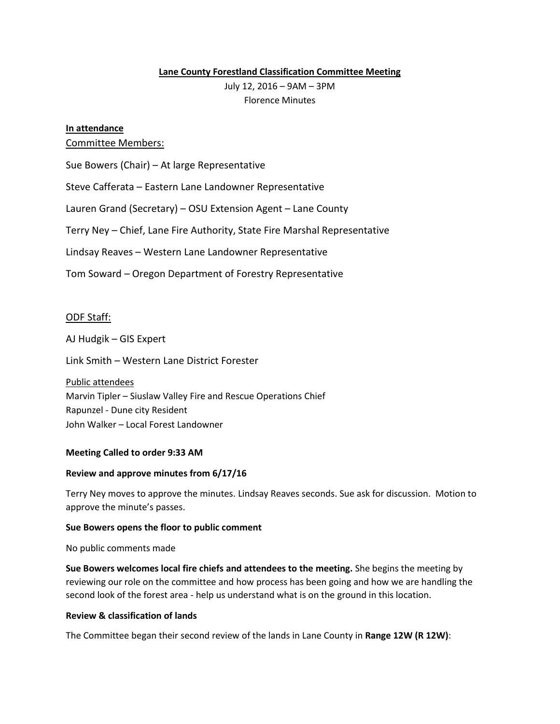## **Lane County Forestland Classification Committee Meeting**

July 12, 2016 – 9AM – 3PM Florence Minutes

# **In attendance**

# Committee Members:

Sue Bowers (Chair) – At large Representative

Steve Cafferata – Eastern Lane Landowner Representative

Lauren Grand (Secretary) – OSU Extension Agent – Lane County

Terry Ney – Chief, Lane Fire Authority, State Fire Marshal Representative

Lindsay Reaves – Western Lane Landowner Representative

Tom Soward – Oregon Department of Forestry Representative

## ODF Staff:

AJ Hudgik – GIS Expert

Link Smith – Western Lane District Forester

Public attendees Marvin Tipler – Siuslaw Valley Fire and Rescue Operations Chief Rapunzel - Dune city Resident John Walker – Local Forest Landowner

### **Meeting Called to order 9:33 AM**

### **Review and approve minutes from 6/17/16**

Terry Ney moves to approve the minutes. Lindsay Reaves seconds. Sue ask for discussion. Motion to approve the minute's passes.

### **Sue Bowers opens the floor to public comment**

No public comments made

**Sue Bowers welcomes local fire chiefs and attendees to the meeting.** She begins the meeting by reviewing our role on the committee and how process has been going and how we are handling the second look of the forest area - help us understand what is on the ground in this location.

### **Review & classification of lands**

The Committee began their second review of the lands in Lane County in **Range 12W (R 12W)**: